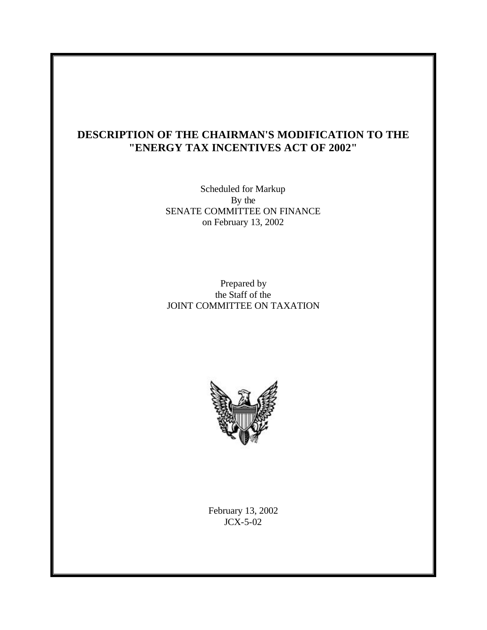# **DESCRIPTION OF THE CHAIRMAN'S MODIFICATION TO THE "ENERGY TAX INCENTIVES ACT OF 2002"**

Scheduled for Markup By the SENATE COMMITTEE ON FINANCE on February 13, 2002

Prepared by the Staff of the JOINT COMMITTEE ON TAXATION



February 13, 2002 JCX-5-02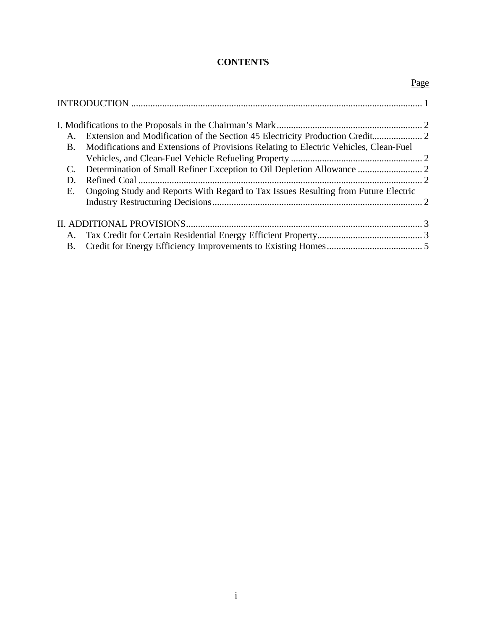## **CONTENTS**

|           |                                                                                      | Page |
|-----------|--------------------------------------------------------------------------------------|------|
|           |                                                                                      |      |
|           |                                                                                      |      |
|           |                                                                                      |      |
| <b>B.</b> | Modifications and Extensions of Provisions Relating to Electric Vehicles, Clean-Fuel |      |
|           |                                                                                      |      |
|           |                                                                                      |      |
| D.        |                                                                                      |      |
| Е.        | Ongoing Study and Reports With Regard to Tax Issues Resulting from Future Electric   |      |
|           |                                                                                      |      |
|           |                                                                                      |      |
|           |                                                                                      |      |
| <b>B.</b> |                                                                                      |      |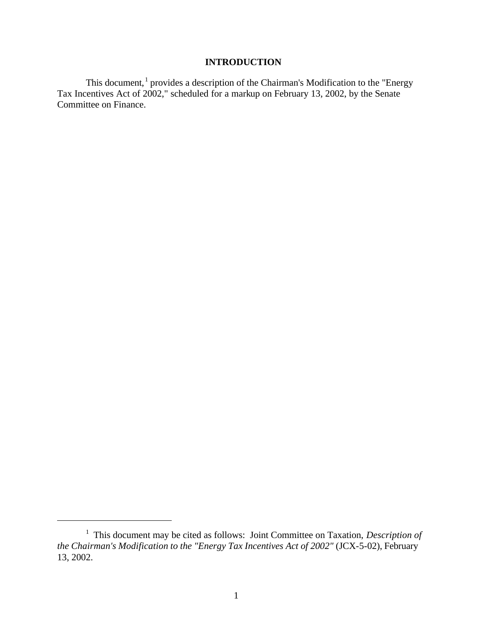## **INTRODUCTION**

This document,  $1$  provides a description of the Chairman's Modification to the "Energy Tax Incentives Act of 2002," scheduled for a markup on February 13, 2002, by the Senate Committee on Finance.

 $\overline{a}$ 

<sup>&</sup>lt;sup>1</sup> This document may be cited as follows: Joint Committee on Taxation, *Description of the Chairman's Modification to the "Energy Tax Incentives Act of 2002"* (JCX-5-02), February 13, 2002.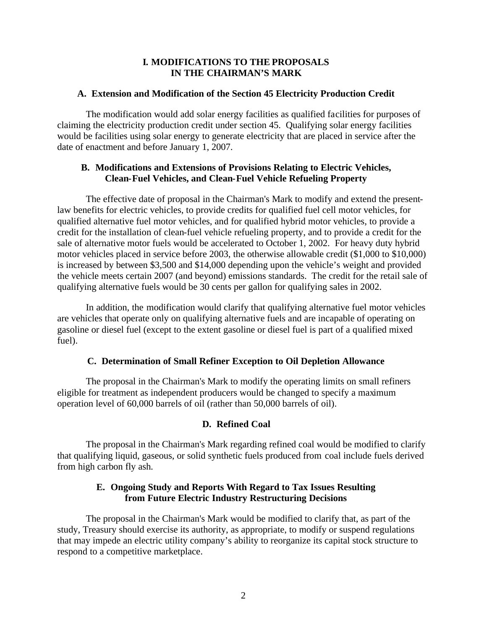### **I. MODIFICATIONS TO THE PROPOSALS IN THE CHAIRMAN'S MARK**

#### **A. Extension and Modification of the Section 45 Electricity Production Credit**

The modification would add solar energy facilities as qualified facilities for purposes of claiming the electricity production credit under section 45. Qualifying solar energy facilities would be facilities using solar energy to generate electricity that are placed in service after the date of enactment and before January 1, 2007.

## **B. Modifications and Extensions of Provisions Relating to Electric Vehicles, Clean-Fuel Vehicles, and Clean-Fuel Vehicle Refueling Property**

The effective date of proposal in the Chairman's Mark to modify and extend the presentlaw benefits for electric vehicles, to provide credits for qualified fuel cell motor vehicles, for qualified alternative fuel motor vehicles, and for qualified hybrid motor vehicles, to provide a credit for the installation of clean-fuel vehicle refueling property, and to provide a credit for the sale of alternative motor fuels would be accelerated to October 1, 2002. For heavy duty hybrid motor vehicles placed in service before 2003, the otherwise allowable credit (\$1,000 to \$10,000) is increased by between \$3,500 and \$14,000 depending upon the vehicle's weight and provided the vehicle meets certain 2007 (and beyond) emissions standards. The credit for the retail sale of qualifying alternative fuels would be 30 cents per gallon for qualifying sales in 2002.

In addition, the modification would clarify that qualifying alternative fuel motor vehicles are vehicles that operate only on qualifying alternative fuels and are incapable of operating on gasoline or diesel fuel (except to the extent gasoline or diesel fuel is part of a qualified mixed fuel).

### **C. Determination of Small Refiner Exception to Oil Depletion Allowance**

The proposal in the Chairman's Mark to modify the operating limits on small refiners eligible for treatment as independent producers would be changed to specify a maximum operation level of 60,000 barrels of oil (rather than 50,000 barrels of oil).

## **D. Refined Coal**

The proposal in the Chairman's Mark regarding refined coal would be modified to clarify that qualifying liquid, gaseous, or solid synthetic fuels produced from coal include fuels derived from high carbon fly ash.

## **E. Ongoing Study and Reports With Regard to Tax Issues Resulting from Future Electric Industry Restructuring Decisions**

The proposal in the Chairman's Mark would be modified to clarify that, as part of the study, Treasury should exercise its authority, as appropriate, to modify or suspend regulations that may impede an electric utility company's ability to reorganize its capital stock structure to respond to a competitive marketplace.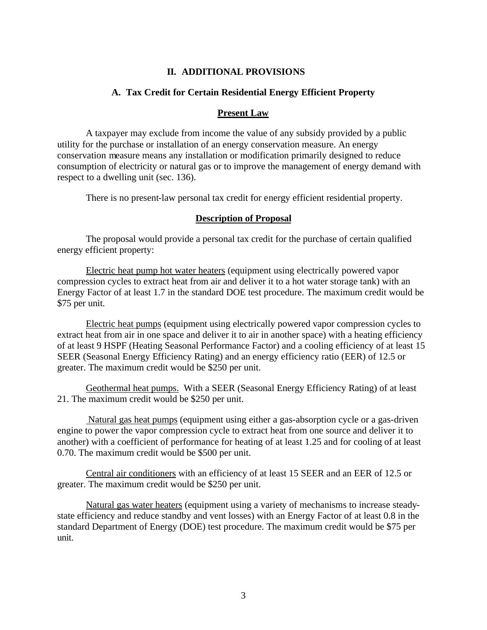### **II. ADDITIONAL PROVISIONS**

#### **A. Tax Credit for Certain Residential Energy Efficient Property**

#### **Present Law**

A taxpayer may exclude from income the value of any subsidy provided by a public utility for the purchase or installation of an energy conservation measure. An energy conservation measure means any installation or modification primarily designed to reduce consumption of electricity or natural gas or to improve the management of energy demand with respect to a dwelling unit (sec. 136).

There is no present-law personal tax credit for energy efficient residential property.

#### **Description of Proposal**

The proposal would provide a personal tax credit for the purchase of certain qualified energy efficient property:

Electric heat pump hot water heaters (equipment using electrically powered vapor compression cycles to extract heat from air and deliver it to a hot water storage tank) with an Energy Factor of at least 1.7 in the standard DOE test procedure. The maximum credit would be \$75 per unit.

Electric heat pumps (equipment using electrically powered vapor compression cycles to extract heat from air in one space and deliver it to air in another space) with a heating efficiency of at least 9 HSPF (Heating Seasonal Performance Factor) and a cooling efficiency of at least 15 SEER (Seasonal Energy Efficiency Rating) and an energy efficiency ratio (EER) of 12.5 or greater. The maximum credit would be \$250 per unit.

Geothermal heat pumps. With a SEER (Seasonal Energy Efficiency Rating) of at least 21. The maximum credit would be \$250 per unit.

 Natural gas heat pumps (equipment using either a gas-absorption cycle or a gas-driven engine to power the vapor compression cycle to extract heat from one source and deliver it to another) with a coefficient of performance for heating of at least 1.25 and for cooling of at least 0.70. The maximum credit would be \$500 per unit.

Central air conditioners with an efficiency of at least 15 SEER and an EER of 12.5 or greater. The maximum credit would be \$250 per unit.

Natural gas water heaters (equipment using a variety of mechanisms to increase steadystate efficiency and reduce standby and vent losses) with an Energy Factor of at least 0.8 in the standard Department of Energy (DOE) test procedure. The maximum credit would be \$75 per unit.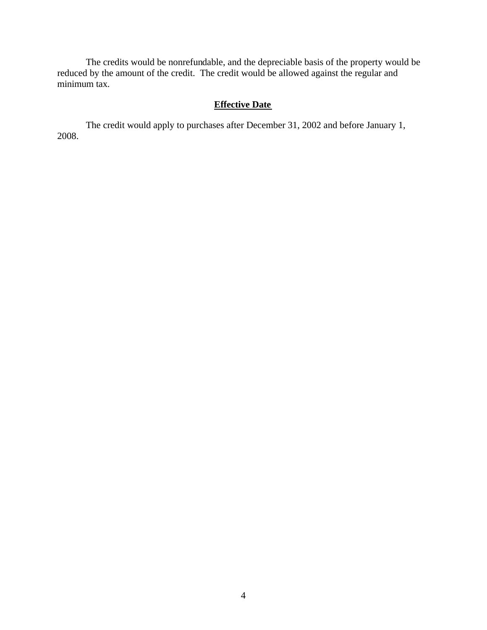The credits would be nonrefundable, and the depreciable basis of the property would be reduced by the amount of the credit. The credit would be allowed against the regular and minimum tax.

## **Effective Date**

The credit would apply to purchases after December 31, 2002 and before January 1, 2008.